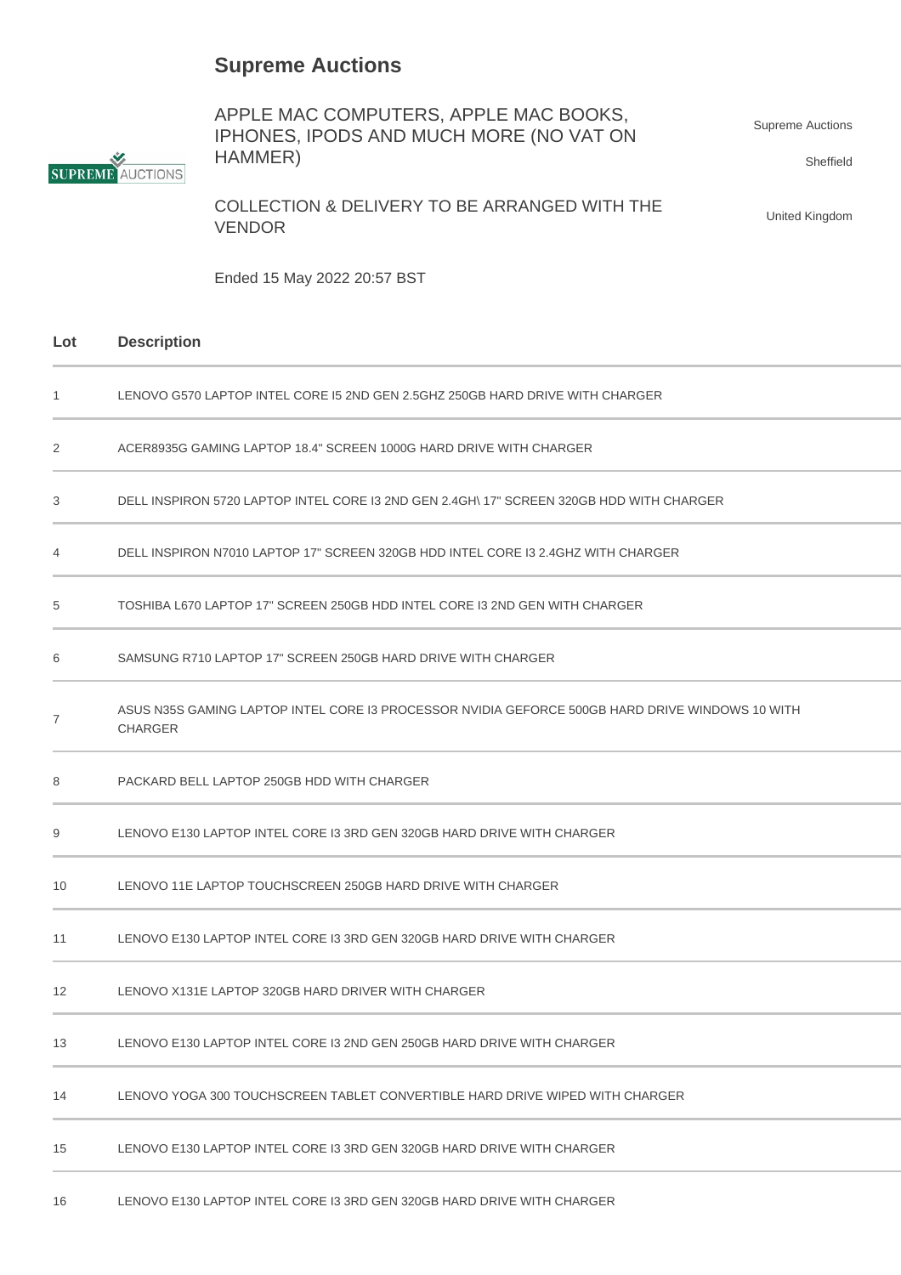## **Supreme Auctions**



APPLE MAC COMPUTERS, APPLE MAC BOOKS, IPHONES, IPODS AND MUCH MORE (NO VAT ON HAMMER) Supreme Auctions Sheffield

COLLECTION & DELIVERY TO BE ARRANGED WITH THE VENDOR

United Kingdom

Ended 15 May 2022 20:57 BST

## **Lot Description**

| $\mathbf{1}$   | LENOVO G570 LAPTOP INTEL CORE 15 2ND GEN 2.5GHZ 250GB HARD DRIVE WITH CHARGER                                     |  |
|----------------|-------------------------------------------------------------------------------------------------------------------|--|
| 2              | ACER8935G GAMING LAPTOP 18.4" SCREEN 1000G HARD DRIVE WITH CHARGER                                                |  |
| 3              | DELL INSPIRON 5720 LAPTOP INTEL CORE I3 2ND GEN 2.4GH\ 17" SCREEN 320GB HDD WITH CHARGER                          |  |
| 4              | DELL INSPIRON N7010 LAPTOP 17" SCREEN 320GB HDD INTEL CORE I3 2.4GHZ WITH CHARGER                                 |  |
| 5              | TOSHIBA L670 LAPTOP 17" SCREEN 250GB HDD INTEL CORE I3 2ND GEN WITH CHARGER                                       |  |
| 6              | SAMSUNG R710 LAPTOP 17" SCREEN 250GB HARD DRIVE WITH CHARGER                                                      |  |
| $\overline{7}$ | ASUS N35S GAMING LAPTOP INTEL CORE I3 PROCESSOR NVIDIA GEFORCE 500GB HARD DRIVE WINDOWS 10 WITH<br><b>CHARGER</b> |  |
| 8              | PACKARD BELL LAPTOP 250GB HDD WITH CHARGER                                                                        |  |
| 9              | LENOVO E130 LAPTOP INTEL CORE I3 3RD GEN 320GB HARD DRIVE WITH CHARGER                                            |  |
| 10             | LENOVO 11E LAPTOP TOUCHSCREEN 250GB HARD DRIVE WITH CHARGER                                                       |  |
| 11             | LENOVO E130 LAPTOP INTEL CORE I3 3RD GEN 320GB HARD DRIVE WITH CHARGER                                            |  |
| 12             | LENOVO X131E LAPTOP 320GB HARD DRIVER WITH CHARGER                                                                |  |
| 13             | LENOVO E130 LAPTOP INTEL CORE I3 2ND GEN 250GB HARD DRIVE WITH CHARGER                                            |  |
| 14             | LENOVO YOGA 300 TOUCHSCREEN TABLET CONVERTIBLE HARD DRIVE WIPED WITH CHARGER                                      |  |
| 15             | LENOVO E130 LAPTOP INTEL CORE I3 3RD GEN 320GB HARD DRIVE WITH CHARGER                                            |  |
| 16             | LENOVO E130 LAPTOP INTEL CORE I3 3RD GEN 320GB HARD DRIVE WITH CHARGER                                            |  |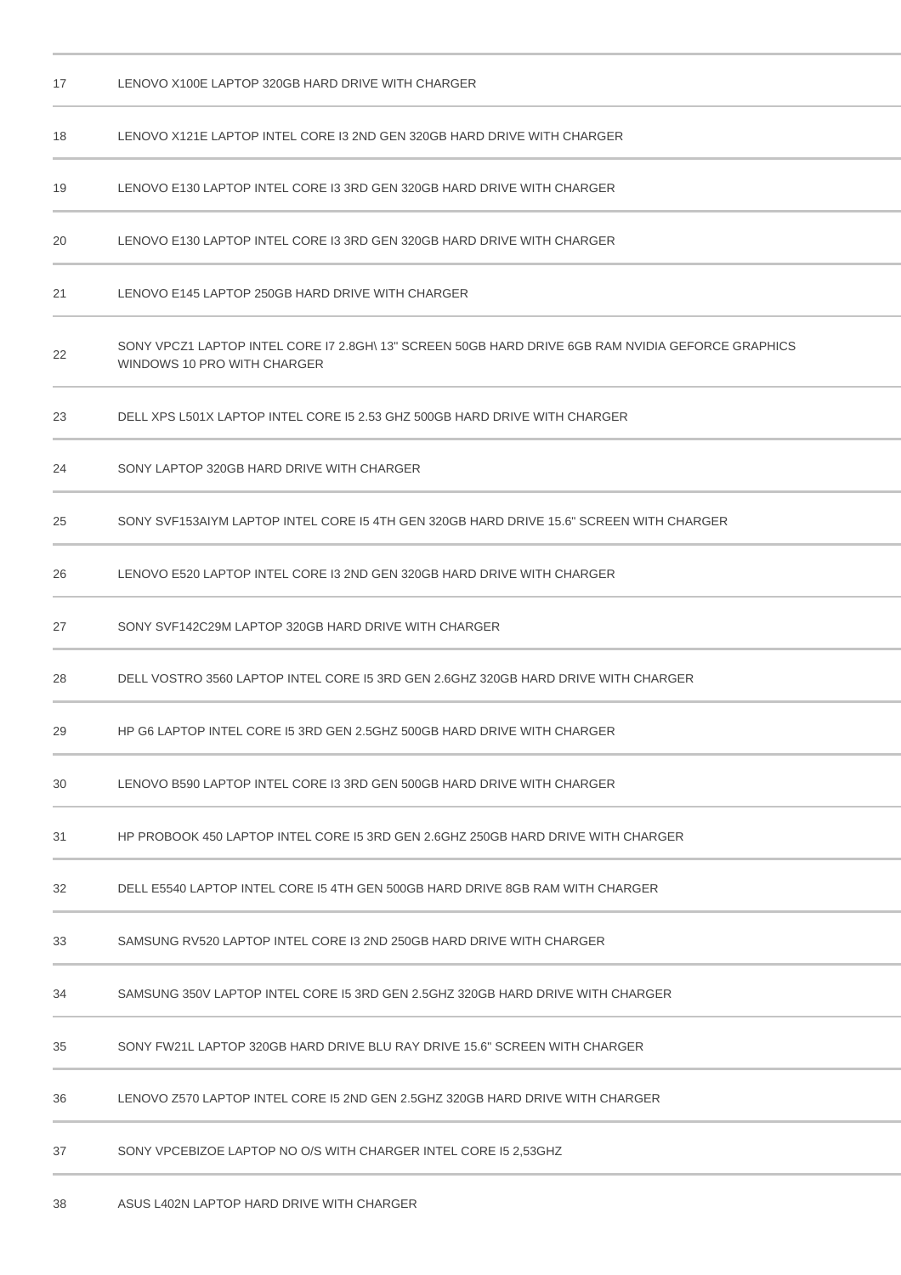| 17 | LENOVO X100E LAPTOP 320GB HARD DRIVE WITH CHARGER                                                                                |  |
|----|----------------------------------------------------------------------------------------------------------------------------------|--|
| 18 | LENOVO X121E LAPTOP INTEL CORE I3 2ND GEN 320GB HARD DRIVE WITH CHARGER                                                          |  |
| 19 | LENOVO E130 LAPTOP INTEL CORE I3 3RD GEN 320GB HARD DRIVE WITH CHARGER                                                           |  |
| 20 | LENOVO E130 LAPTOP INTEL CORE I3 3RD GEN 320GB HARD DRIVE WITH CHARGER                                                           |  |
| 21 | LENOVO E145 LAPTOP 250GB HARD DRIVE WITH CHARGER                                                                                 |  |
| 22 | SONY VPCZ1 LAPTOP INTEL CORE I7 2.8GH\ 13" SCREEN 50GB HARD DRIVE 6GB RAM NVIDIA GEFORCE GRAPHICS<br>WINDOWS 10 PRO WITH CHARGER |  |
| 23 | DELL XPS L501X LAPTOP INTEL CORE I5 2.53 GHZ 500GB HARD DRIVE WITH CHARGER                                                       |  |
| 24 | SONY LAPTOP 320GB HARD DRIVE WITH CHARGER                                                                                        |  |
| 25 | SONY SVF153AIYM LAPTOP INTEL CORE 15 4TH GEN 320GB HARD DRIVE 15.6" SCREEN WITH CHARGER                                          |  |
| 26 | LENOVO E520 LAPTOP INTEL CORE I3 2ND GEN 320GB HARD DRIVE WITH CHARGER                                                           |  |
| 27 | SONY SVF142C29M LAPTOP 320GB HARD DRIVE WITH CHARGER                                                                             |  |
| 28 | DELL VOSTRO 3560 LAPTOP INTEL CORE 15 3RD GEN 2.6GHZ 320GB HARD DRIVE WITH CHARGER                                               |  |
| 29 | HP G6 LAPTOP INTEL CORE I5 3RD GEN 2.5GHZ 500GB HARD DRIVE WITH CHARGER                                                          |  |
| 30 | LENOVO B590 LAPTOP INTEL CORE I3 3RD GEN 500GB HARD DRIVE WITH CHARGER                                                           |  |
| 31 | HP PROBOOK 450 LAPTOP INTEL CORE 15 3RD GEN 2.6GHZ 250GB HARD DRIVE WITH CHARGER                                                 |  |
| 32 | DELL E5540 LAPTOP INTEL CORE I5 4TH GEN 500GB HARD DRIVE 8GB RAM WITH CHARGER                                                    |  |
| 33 | SAMSUNG RV520 LAPTOP INTEL CORE I3 2ND 250GB HARD DRIVE WITH CHARGER                                                             |  |
| 34 | SAMSUNG 350V LAPTOP INTEL CORE I5 3RD GEN 2.5GHZ 320GB HARD DRIVE WITH CHARGER                                                   |  |
| 35 | SONY FW21L LAPTOP 320GB HARD DRIVE BLU RAY DRIVE 15.6" SCREEN WITH CHARGER                                                       |  |
| 36 | LENOVO Z570 LAPTOP INTEL CORE 15 2ND GEN 2.5GHZ 320GB HARD DRIVE WITH CHARGER                                                    |  |
| 37 | SONY VPCEBIZOE LAPTOP NO O/S WITH CHARGER INTEL CORE I5 2,53GHZ                                                                  |  |
| 38 | ASUS L402N LAPTOP HARD DRIVE WITH CHARGER                                                                                        |  |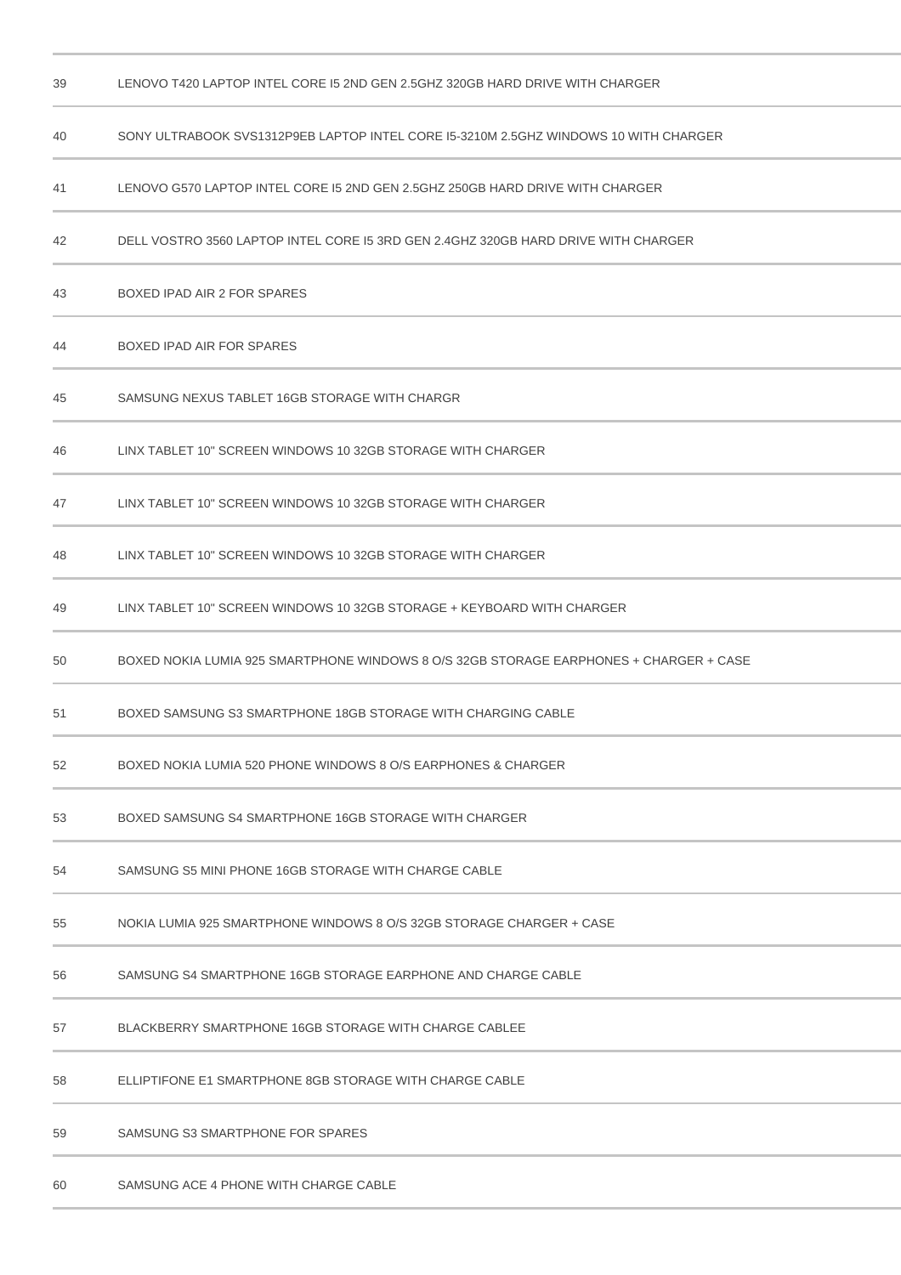| 39 | LENOVO T420 LAPTOP INTEL CORE 15 2ND GEN 2.5GHZ 320GB HARD DRIVE WITH CHARGER          |  |  |
|----|----------------------------------------------------------------------------------------|--|--|
| 40 | SONY ULTRABOOK SVS1312P9EB LAPTOP INTEL CORE 15-3210M 2.5GHZ WINDOWS 10 WITH CHARGER   |  |  |
| 41 | LENOVO G570 LAPTOP INTEL CORE 15 2ND GEN 2.5GHZ 250GB HARD DRIVE WITH CHARGER          |  |  |
| 42 | DELL VOSTRO 3560 LAPTOP INTEL CORE 15 3RD GEN 2.4GHZ 320GB HARD DRIVE WITH CHARGER     |  |  |
| 43 | BOXED IPAD AIR 2 FOR SPARES                                                            |  |  |
| 44 | BOXED IPAD AIR FOR SPARES                                                              |  |  |
| 45 | SAMSUNG NEXUS TABLET 16GB STORAGE WITH CHARGR                                          |  |  |
| 46 | LINX TABLET 10" SCREEN WINDOWS 10 32GB STORAGE WITH CHARGER                            |  |  |
| 47 | LINX TABLET 10" SCREEN WINDOWS 10 32GB STORAGE WITH CHARGER                            |  |  |
| 48 | LINX TABLET 10" SCREEN WINDOWS 10 32GB STORAGE WITH CHARGER                            |  |  |
| 49 | LINX TABLET 10" SCREEN WINDOWS 10 32GB STORAGE + KEYBOARD WITH CHARGER                 |  |  |
| 50 | BOXED NOKIA LUMIA 925 SMARTPHONE WINDOWS 8 O/S 32GB STORAGE EARPHONES + CHARGER + CASE |  |  |
| 51 | BOXED SAMSUNG S3 SMARTPHONE 18GB STORAGE WITH CHARGING CABLE                           |  |  |
| 52 | BOXED NOKIA LUMIA 520 PHONE WINDOWS 8 O/S EARPHONES & CHARGER                          |  |  |
| 53 | BOXED SAMSUNG S4 SMARTPHONE 16GB STORAGE WITH CHARGER                                  |  |  |
| 54 | SAMSUNG S5 MINI PHONE 16GB STORAGE WITH CHARGE CABLE                                   |  |  |
| 55 | NOKIA LUMIA 925 SMARTPHONE WINDOWS 8 O/S 32GB STORAGE CHARGER + CASE                   |  |  |
| 56 | SAMSUNG S4 SMARTPHONE 16GB STORAGE EARPHONE AND CHARGE CABLE                           |  |  |
| 57 | BLACKBERRY SMARTPHONE 16GB STORAGE WITH CHARGE CABLEE                                  |  |  |
| 58 | ELLIPTIFONE E1 SMARTPHONE 8GB STORAGE WITH CHARGE CABLE                                |  |  |
| 59 | SAMSUNG S3 SMARTPHONE FOR SPARES                                                       |  |  |
| 60 | SAMSUNG ACE 4 PHONE WITH CHARGE CABLE                                                  |  |  |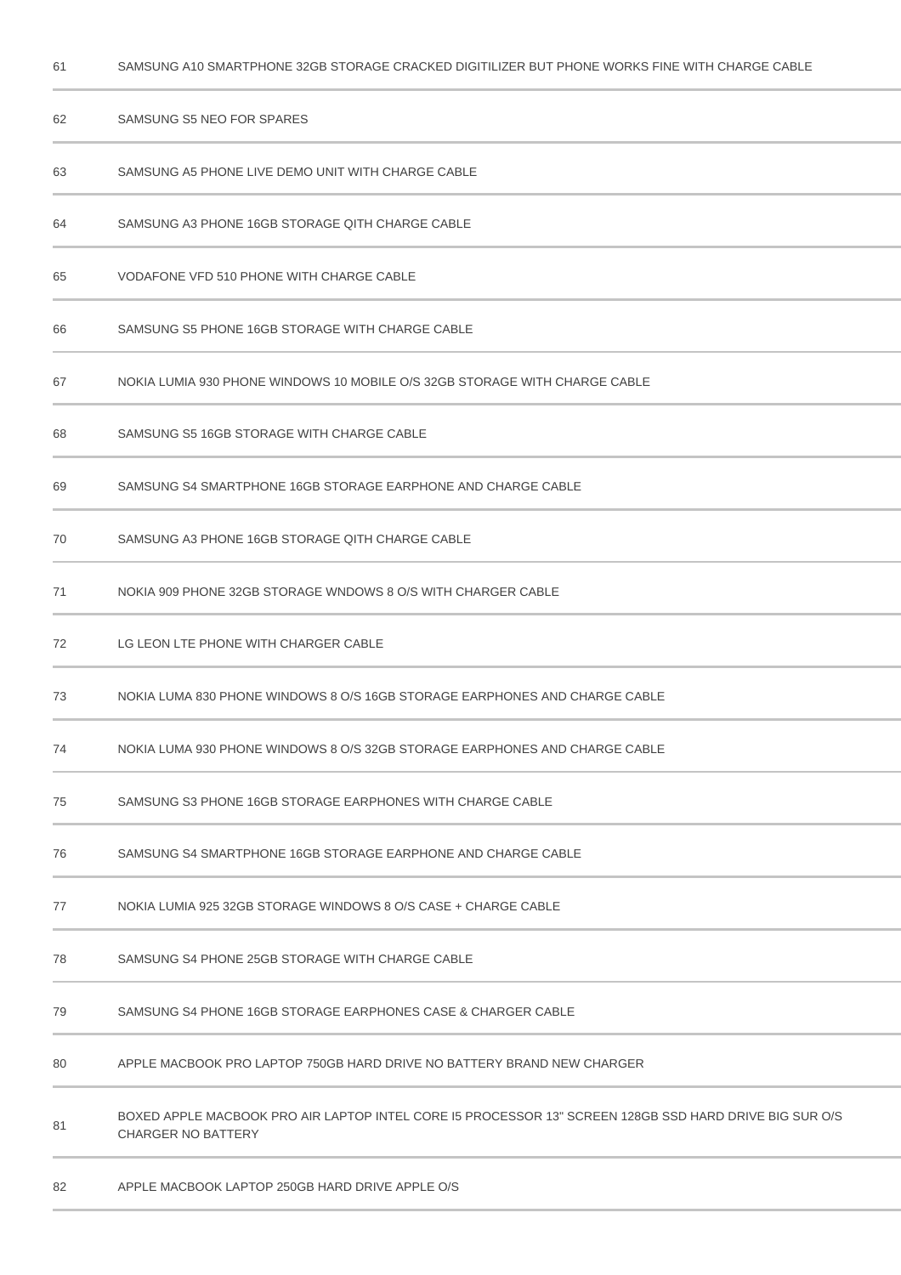| 62 | SAMSUNG S5 NEO FOR SPARES                                                                                                           |  |
|----|-------------------------------------------------------------------------------------------------------------------------------------|--|
| 63 | SAMSUNG A5 PHONE LIVE DEMO UNIT WITH CHARGE CABLE                                                                                   |  |
| 64 | SAMSUNG A3 PHONE 16GB STORAGE QITH CHARGE CABLE                                                                                     |  |
| 65 | VODAFONE VFD 510 PHONE WITH CHARGE CABLE                                                                                            |  |
| 66 | SAMSUNG S5 PHONE 16GB STORAGE WITH CHARGE CABLE                                                                                     |  |
| 67 | NOKIA LUMIA 930 PHONE WINDOWS 10 MOBILE O/S 32GB STORAGE WITH CHARGE CABLE                                                          |  |
| 68 | SAMSUNG S5 16GB STORAGE WITH CHARGE CABLE                                                                                           |  |
| 69 | SAMSUNG S4 SMARTPHONE 16GB STORAGE EARPHONE AND CHARGE CABLE                                                                        |  |
| 70 | SAMSUNG A3 PHONE 16GB STORAGE QITH CHARGE CABLE                                                                                     |  |
| 71 | NOKIA 909 PHONE 32GB STORAGE WNDOWS 8 O/S WITH CHARGER CABLE                                                                        |  |
| 72 | LG LEON LTE PHONE WITH CHARGER CABLE                                                                                                |  |
| 73 | NOKIA LUMA 830 PHONE WINDOWS 8 O/S 16GB STORAGE EARPHONES AND CHARGE CABLE                                                          |  |
| 74 | NOKIA LUMA 930 PHONE WINDOWS 8 O/S 32GB STORAGE EARPHONES AND CHARGE CABLE                                                          |  |
| 75 | SAMSUNG S3 PHONE 16GB STORAGE EARPHONES WITH CHARGE CABLE                                                                           |  |
| 76 | SAMSUNG S4 SMARTPHONE 16GB STORAGE EARPHONE AND CHARGE CABLE                                                                        |  |
| 77 | NOKIA LUMIA 925 32GB STORAGE WINDOWS 8 O/S CASE + CHARGE CABLE                                                                      |  |
| 78 | SAMSUNG S4 PHONE 25GB STORAGE WITH CHARGE CABLE                                                                                     |  |
| 79 | SAMSUNG S4 PHONE 16GB STORAGE EARPHONES CASE & CHARGER CABLE                                                                        |  |
| 80 | APPLE MACBOOK PRO LAPTOP 750GB HARD DRIVE NO BATTERY BRAND NEW CHARGER                                                              |  |
| 81 | BOXED APPLE MACBOOK PRO AIR LAPTOP INTEL CORE I5 PROCESSOR 13" SCREEN 128GB SSD HARD DRIVE BIG SUR O/S<br><b>CHARGER NO BATTERY</b> |  |
| 82 | APPLE MACBOOK LAPTOP 250GB HARD DRIVE APPLE O/S                                                                                     |  |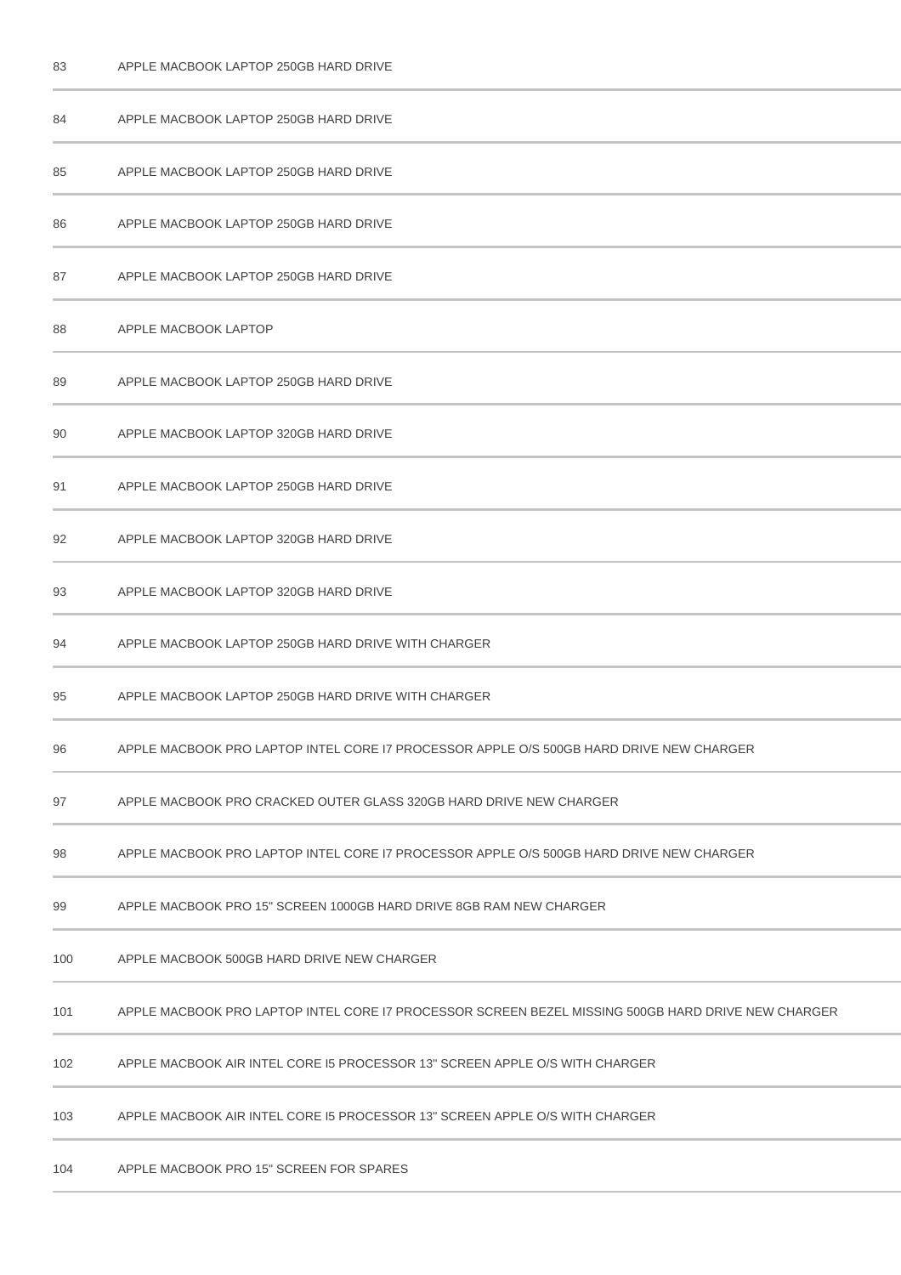| 84  | APPLE MACBOOK LAPTOP 250GB HARD DRIVE                                                              |  |
|-----|----------------------------------------------------------------------------------------------------|--|
| 85  | APPLE MACBOOK LAPTOP 250GB HARD DRIVE                                                              |  |
| 86  | APPLE MACBOOK LAPTOP 250GB HARD DRIVE                                                              |  |
| 87  | APPLE MACBOOK LAPTOP 250GB HARD DRIVE                                                              |  |
| 88  | APPLE MACBOOK LAPTOP                                                                               |  |
| 89  | APPLE MACBOOK LAPTOP 250GB HARD DRIVE                                                              |  |
| 90  | APPLE MACBOOK LAPTOP 320GB HARD DRIVE                                                              |  |
| 91  | APPLE MACBOOK LAPTOP 250GB HARD DRIVE                                                              |  |
| 92  | APPLE MACBOOK LAPTOP 320GB HARD DRIVE                                                              |  |
| 93  | APPLE MACBOOK LAPTOP 320GB HARD DRIVE                                                              |  |
| 94  | APPLE MACBOOK LAPTOP 250GB HARD DRIVE WITH CHARGER                                                 |  |
| 95  | APPLE MACBOOK LAPTOP 250GB HARD DRIVE WITH CHARGER                                                 |  |
| 96  | APPLE MACBOOK PRO LAPTOP INTEL CORE 17 PROCESSOR APPLE O/S 500GB HARD DRIVE NEW CHARGER            |  |
| 97  | APPLE MACBOOK PRO CRACKED OUTER GLASS 320GB HARD DRIVE NEW CHARGER                                 |  |
| 98  | APPLE MACBOOK PRO LAPTOP INTEL CORE I7 PROCESSOR APPLE O/S 500GB HARD DRIVE NEW CHARGER            |  |
| 99  | APPLE MACBOOK PRO 15" SCREEN 1000GB HARD DRIVE 8GB RAM NEW CHARGER                                 |  |
| 100 | APPLE MACBOOK 500GB HARD DRIVE NEW CHARGER                                                         |  |
| 101 | APPLE MACBOOK PRO LAPTOP INTEL CORE I7 PROCESSOR SCREEN BEZEL MISSING 500GB HARD DRIVE NEW CHARGER |  |
| 102 | APPLE MACBOOK AIR INTEL CORE I5 PROCESSOR 13" SCREEN APPLE O/S WITH CHARGER                        |  |
| 103 | APPLE MACBOOK AIR INTEL CORE I5 PROCESSOR 13" SCREEN APPLE O/S WITH CHARGER                        |  |
| 104 | APPLE MACBOOK PRO 15" SCREEN FOR SPARES                                                            |  |

APPLE MACBOOK LAPTOP 250GB HARD DRIVE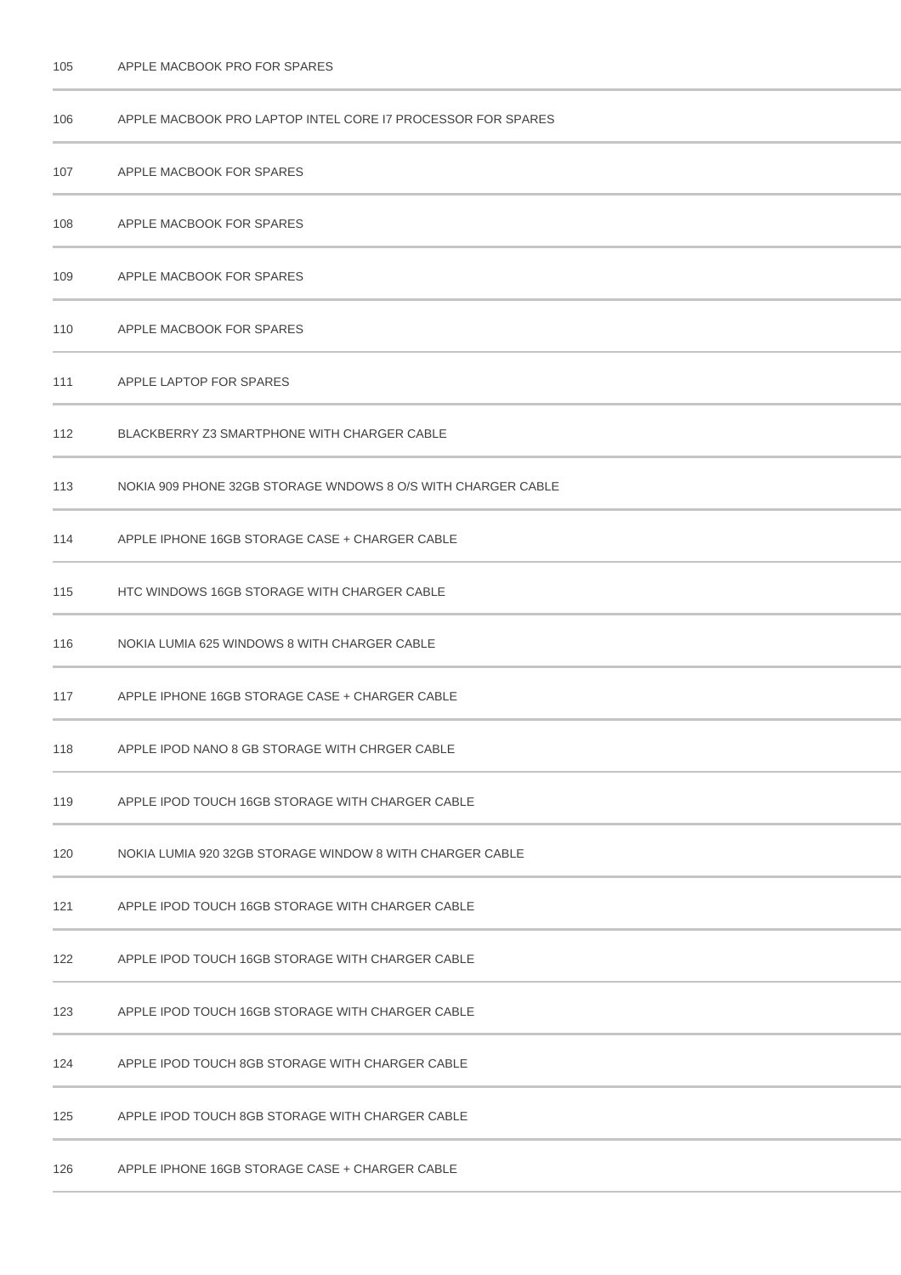| 106 | APPLE MACBOOK PRO LAPTOP INTEL CORE IT PROCESSOR FOR SPARES  |
|-----|--------------------------------------------------------------|
| 107 | APPLE MACBOOK FOR SPARES                                     |
| 108 | APPLE MACBOOK FOR SPARES                                     |
| 109 | APPLE MACBOOK FOR SPARES                                     |
| 110 | APPLE MACBOOK FOR SPARES                                     |
| 111 | APPLE LAPTOP FOR SPARES                                      |
| 112 | BLACKBERRY Z3 SMARTPHONE WITH CHARGER CABLE                  |
| 113 | NOKIA 909 PHONE 32GB STORAGE WNDOWS 8 O/S WITH CHARGER CABLE |
| 114 | APPLE IPHONE 16GB STORAGE CASE + CHARGER CABLE               |
| 115 | HTC WINDOWS 16GB STORAGE WITH CHARGER CABLE                  |
| 116 | NOKIA LUMIA 625 WINDOWS 8 WITH CHARGER CABLE                 |
| 117 | APPLE IPHONE 16GB STORAGE CASE + CHARGER CABLE               |
| 118 | APPLE IPOD NANO 8 GB STORAGE WITH CHRGER CABLE               |
| 119 | APPLE IPOD TOUCH 16GB STORAGE WITH CHARGER CABLE             |
| 120 | NOKIA LUMIA 920 32GB STORAGE WINDOW 8 WITH CHARGER CABLE     |
| 121 | APPLE IPOD TOUCH 16GB STORAGE WITH CHARGER CABLE             |
| 122 | APPLE IPOD TOUCH 16GB STORAGE WITH CHARGER CABLE             |
| 123 | APPLE IPOD TOUCH 16GB STORAGE WITH CHARGER CABLE             |
| 124 | APPLE IPOD TOUCH 8GB STORAGE WITH CHARGER CABLE              |
| 125 | APPLE IPOD TOUCH 8GB STORAGE WITH CHARGER CABLE              |
| 126 | APPLE IPHONE 16GB STORAGE CASE + CHARGER CABLE               |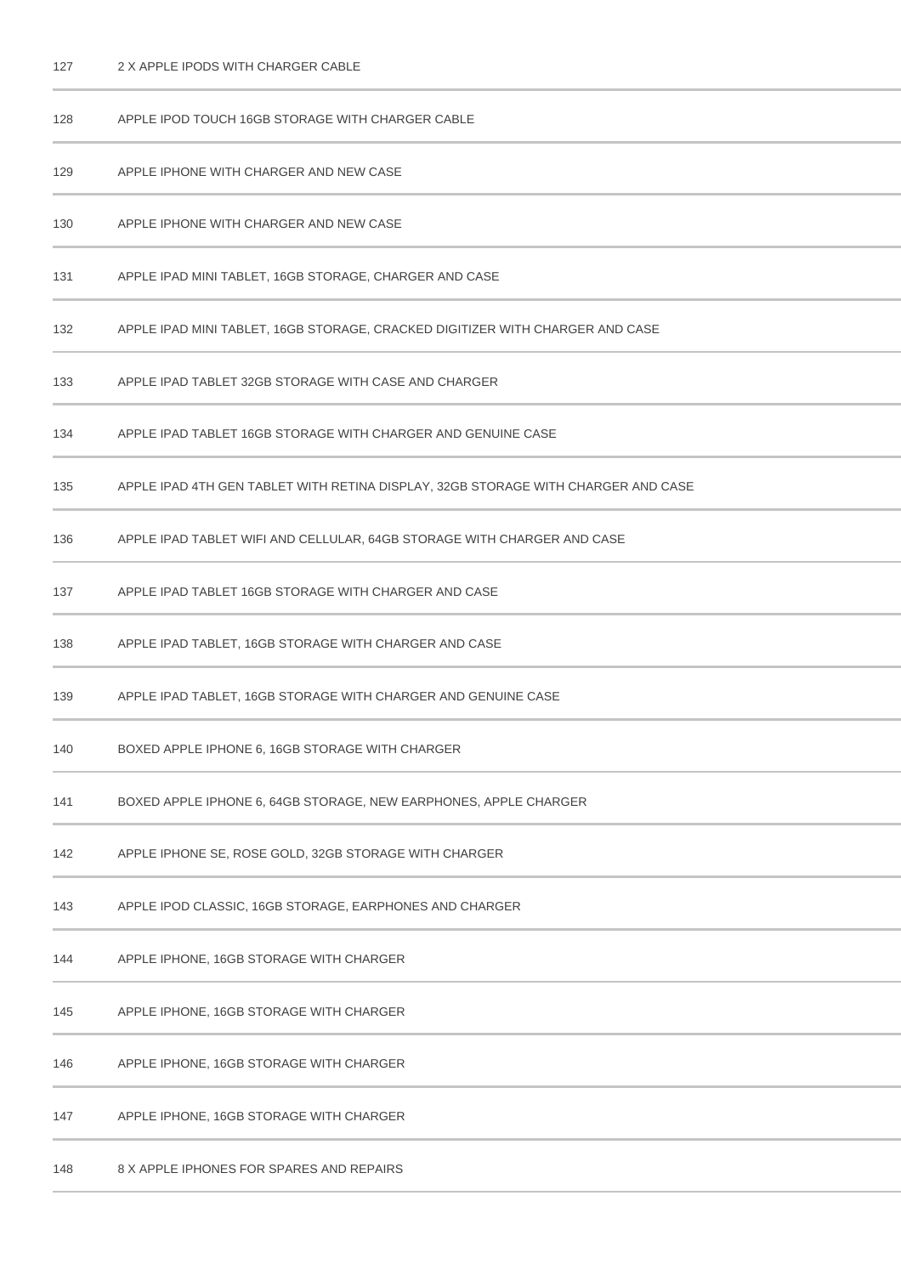## 2 X APPLE IPODS WITH CHARGER CABLE

| 128 | APPLE IPOD TOUCH 16GB STORAGE WITH CHARGER CABLE                                  |  |  |
|-----|-----------------------------------------------------------------------------------|--|--|
| 129 | APPLE IPHONE WITH CHARGER AND NEW CASE                                            |  |  |
| 130 | APPLE IPHONE WITH CHARGER AND NEW CASE                                            |  |  |
| 131 | APPLE IPAD MINI TABLET, 16GB STORAGE, CHARGER AND CASE                            |  |  |
| 132 | APPLE IPAD MINI TABLET, 16GB STORAGE, CRACKED DIGITIZER WITH CHARGER AND CASE     |  |  |
| 133 | APPLE IPAD TABLET 32GB STORAGE WITH CASE AND CHARGER                              |  |  |
| 134 | APPLE IPAD TABLET 16GB STORAGE WITH CHARGER AND GENUINE CASE                      |  |  |
| 135 | APPLE IPAD 4TH GEN TABLET WITH RETINA DISPLAY, 32GB STORAGE WITH CHARGER AND CASE |  |  |
| 136 | APPLE IPAD TABLET WIFI AND CELLULAR, 64GB STORAGE WITH CHARGER AND CASE           |  |  |
| 137 | APPLE IPAD TABLET 16GB STORAGE WITH CHARGER AND CASE                              |  |  |
| 138 | APPLE IPAD TABLET, 16GB STORAGE WITH CHARGER AND CASE                             |  |  |
| 139 | APPLE IPAD TABLET, 16GB STORAGE WITH CHARGER AND GENUINE CASE                     |  |  |
| 140 | BOXED APPLE IPHONE 6, 16GB STORAGE WITH CHARGER                                   |  |  |
| 141 | BOXED APPLE IPHONE 6, 64GB STORAGE, NEW EARPHONES, APPLE CHARGER                  |  |  |
| 142 | APPLE IPHONE SE, ROSE GOLD, 32GB STORAGE WITH CHARGER                             |  |  |
| 143 | APPLE IPOD CLASSIC, 16GB STORAGE, EARPHONES AND CHARGER                           |  |  |
| 144 | APPLE IPHONE, 16GB STORAGE WITH CHARGER                                           |  |  |
| 145 | APPLE IPHONE, 16GB STORAGE WITH CHARGER                                           |  |  |
| 146 | APPLE IPHONE, 16GB STORAGE WITH CHARGER                                           |  |  |
| 147 | APPLE IPHONE, 16GB STORAGE WITH CHARGER                                           |  |  |
| 148 | 8 X APPLE IPHONES FOR SPARES AND REPAIRS                                          |  |  |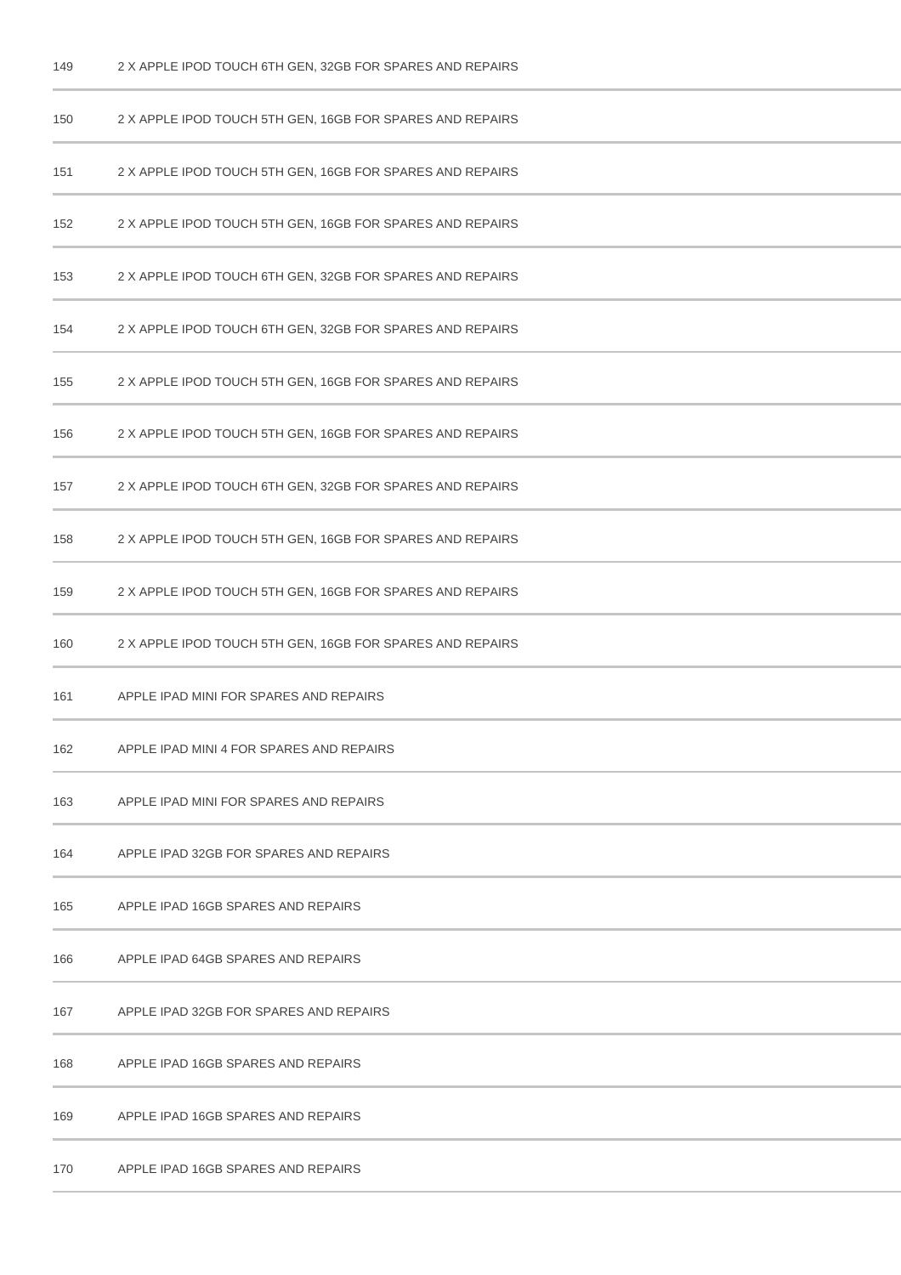2 X APPLE IPOD TOUCH 6TH GEN, 32GB FOR SPARES AND REPAIRS

| 150 | 2 X APPLE IPOD TOUCH 5TH GEN, 16GB FOR SPARES AND REPAIRS |
|-----|-----------------------------------------------------------|
| 151 | 2 X APPLE IPOD TOUCH 5TH GEN, 16GB FOR SPARES AND REPAIRS |
| 152 | 2 X APPLE IPOD TOUCH 5TH GEN, 16GB FOR SPARES AND REPAIRS |
| 153 | 2 X APPLE IPOD TOUCH 6TH GEN, 32GB FOR SPARES AND REPAIRS |
| 154 | 2 X APPLE IPOD TOUCH 6TH GEN, 32GB FOR SPARES AND REPAIRS |
| 155 | 2 X APPLE IPOD TOUCH 5TH GEN, 16GB FOR SPARES AND REPAIRS |
| 156 | 2 X APPLE IPOD TOUCH 5TH GEN, 16GB FOR SPARES AND REPAIRS |
| 157 | 2 X APPLE IPOD TOUCH 6TH GEN, 32GB FOR SPARES AND REPAIRS |
| 158 | 2 X APPLE IPOD TOUCH 5TH GEN, 16GB FOR SPARES AND REPAIRS |
| 159 | 2 X APPLE IPOD TOUCH 5TH GEN, 16GB FOR SPARES AND REPAIRS |
| 160 | 2 X APPLE IPOD TOUCH 5TH GEN, 16GB FOR SPARES AND REPAIRS |
| 161 | APPLE IPAD MINI FOR SPARES AND REPAIRS                    |
| 162 | APPLE IPAD MINI 4 FOR SPARES AND REPAIRS                  |
| 163 | APPLE IPAD MINI FOR SPARES AND REPAIRS                    |
| 164 | APPLE IPAD 32GB FOR SPARES AND REPAIRS                    |
| 165 | APPLE IPAD 16GB SPARES AND REPAIRS                        |
| 166 | APPLE IPAD 64GB SPARES AND REPAIRS                        |
| 167 | APPLE IPAD 32GB FOR SPARES AND REPAIRS                    |
| 168 | APPLE IPAD 16GB SPARES AND REPAIRS                        |
| 169 | APPLE IPAD 16GB SPARES AND REPAIRS                        |
| 170 | APPLE IPAD 16GB SPARES AND REPAIRS                        |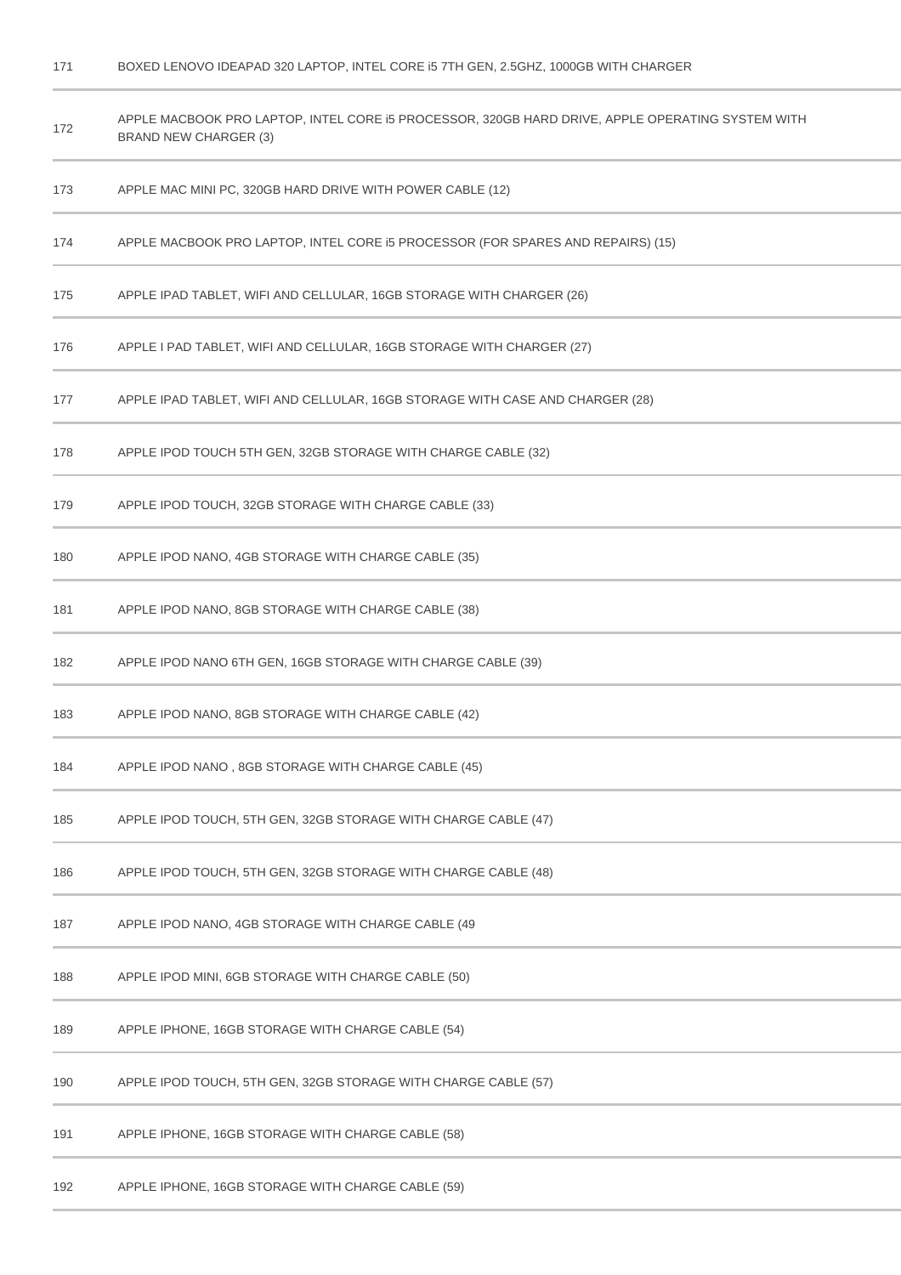BOXED LENOVO IDEAPAD 320 LAPTOP, INTEL CORE i5 7TH GEN, 2.5GHZ, 1000GB WITH CHARGER

| 172 | APPLE MACBOOK PRO LAPTOP, INTEL CORE i5 PROCESSOR, 320GB HARD DRIVE, APPLE OPERATING SYSTEM WITH<br><b>BRAND NEW CHARGER (3)</b> |
|-----|----------------------------------------------------------------------------------------------------------------------------------|
| 173 | APPLE MAC MINI PC, 320GB HARD DRIVE WITH POWER CABLE (12)                                                                        |
| 174 | APPLE MACBOOK PRO LAPTOP, INTEL CORE I5 PROCESSOR (FOR SPARES AND REPAIRS) (15)                                                  |
| 175 | APPLE IPAD TABLET, WIFI AND CELLULAR, 16GB STORAGE WITH CHARGER (26)                                                             |
| 176 | APPLE I PAD TABLET, WIFI AND CELLULAR, 16GB STORAGE WITH CHARGER (27)                                                            |
| 177 | APPLE IPAD TABLET, WIFI AND CELLULAR, 16GB STORAGE WITH CASE AND CHARGER (28)                                                    |
| 178 | APPLE IPOD TOUCH 5TH GEN, 32GB STORAGE WITH CHARGE CABLE (32)                                                                    |
| 179 | APPLE IPOD TOUCH, 32GB STORAGE WITH CHARGE CABLE (33)                                                                            |
| 180 | APPLE IPOD NANO, 4GB STORAGE WITH CHARGE CABLE (35)                                                                              |
| 181 | APPLE IPOD NANO, 8GB STORAGE WITH CHARGE CABLE (38)                                                                              |
| 182 | APPLE IPOD NANO 6TH GEN, 16GB STORAGE WITH CHARGE CABLE (39)                                                                     |
| 183 | APPLE IPOD NANO, 8GB STORAGE WITH CHARGE CABLE (42)                                                                              |
| 184 | APPLE IPOD NANO, 8GB STORAGE WITH CHARGE CABLE (45)                                                                              |
| 185 | APPLE IPOD TOUCH, 5TH GEN, 32GB STORAGE WITH CHARGE CABLE (47)                                                                   |
| 186 | APPLE IPOD TOUCH, 5TH GEN, 32GB STORAGE WITH CHARGE CABLE (48)                                                                   |
| 187 | APPLE IPOD NANO, 4GB STORAGE WITH CHARGE CABLE (49                                                                               |
| 188 | APPLE IPOD MINI, 6GB STORAGE WITH CHARGE CABLE (50)                                                                              |
| 189 | APPLE IPHONE, 16GB STORAGE WITH CHARGE CABLE (54)                                                                                |
| 190 | APPLE IPOD TOUCH, 5TH GEN, 32GB STORAGE WITH CHARGE CABLE (57)                                                                   |
| 191 | APPLE IPHONE, 16GB STORAGE WITH CHARGE CABLE (58)                                                                                |
| 192 | APPLE IPHONE, 16GB STORAGE WITH CHARGE CABLE (59)                                                                                |
|     |                                                                                                                                  |